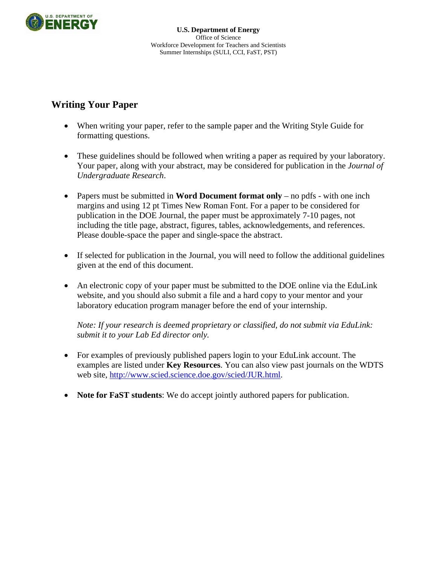

# **Writing Your Paper**

- When writing your paper, refer to the sample paper and the Writing Style Guide for formatting questions.
- These guidelines should be followed when writing a paper as required by your laboratory. Your paper, along with your abstract, may be considered for publication in the *Journal of Undergraduate Research*.
- Papers must be submitted in **Word Document format only** no pdfs with one inch margins and using 12 pt Times New Roman Font. For a paper to be considered for publication in the DOE Journal, the paper must be approximately 7-10 pages, not including the title page, abstract, figures, tables, acknowledgements, and references. Please double-space the paper and single-space the abstract.
- If selected for publication in the Journal, you will need to follow the additional guidelines given at the end of this document.
- An electronic copy of your paper must be submitted to the DOE online via the EduLink website, and you should also submit a file and a hard copy to your mentor and your laboratory education program manager before the end of your internship.

*Note: If your research is deemed proprietary or classified, do not submit via EduLink: submit it to your Lab Ed director only.* 

- For examples of previously published papers login to your EduLink account. The examples are listed under **Key Resources**. You can also view past journals on the WDTS web site, <http://www.scied.science.doe.gov/scied/JUR.html>.
- **Note for FaST students**: We do accept jointly authored papers for publication.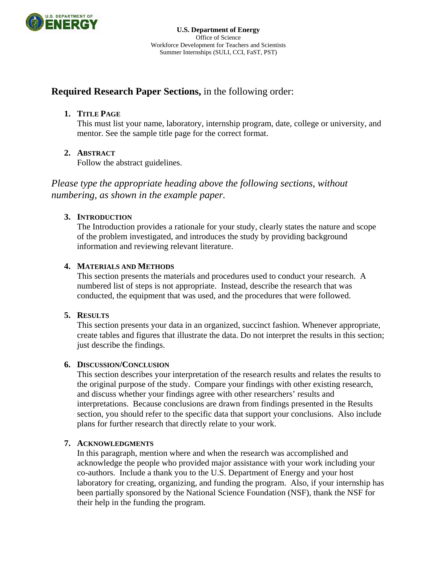

## **Required Research Paper Sections,** in the following order:

## **1. TITLE PAGE**

This must list your name, laboratory, internship program, date, college or university, and mentor. See the sample title page for the correct format.

## **2. ABSTRACT**

Follow the abstract guidelines.

*Please type the appropriate heading above the following sections, without numbering, as shown in the example paper.* 

## **3. INTRODUCTION**

The Introduction provides a rationale for your study, clearly states the nature and scope of the problem investigated, and introduces the study by providing background information and reviewing relevant literature.

## **4. MATERIALS AND METHODS**

This section presents the materials and procedures used to conduct your research. A numbered list of steps is not appropriate. Instead, describe the research that was conducted, the equipment that was used, and the procedures that were followed.

#### **5. RESULTS**

This section presents your data in an organized, succinct fashion. Whenever appropriate, create tables and figures that illustrate the data. Do not interpret the results in this section; just describe the findings.

#### **6. DISCUSSION/CONCLUSION**

This section describes your interpretation of the research results and relates the results to the original purpose of the study. Compare your findings with other existing research, and discuss whether your findings agree with other researchers' results and interpretations. Because conclusions are drawn from findings presented in the Results section, you should refer to the specific data that support your conclusions. Also include plans for further research that directly relate to your work.

#### **7. ACKNOWLEDGMENTS**

In this paragraph, mention where and when the research was accomplished and acknowledge the people who provided major assistance with your work including your co-authors. Include a thank you to the U.S. Department of Energy and your host laboratory for creating, organizing, and funding the program. Also, if your internship has been partially sponsored by the National Science Foundation (NSF), thank the NSF for their help in the funding the program.